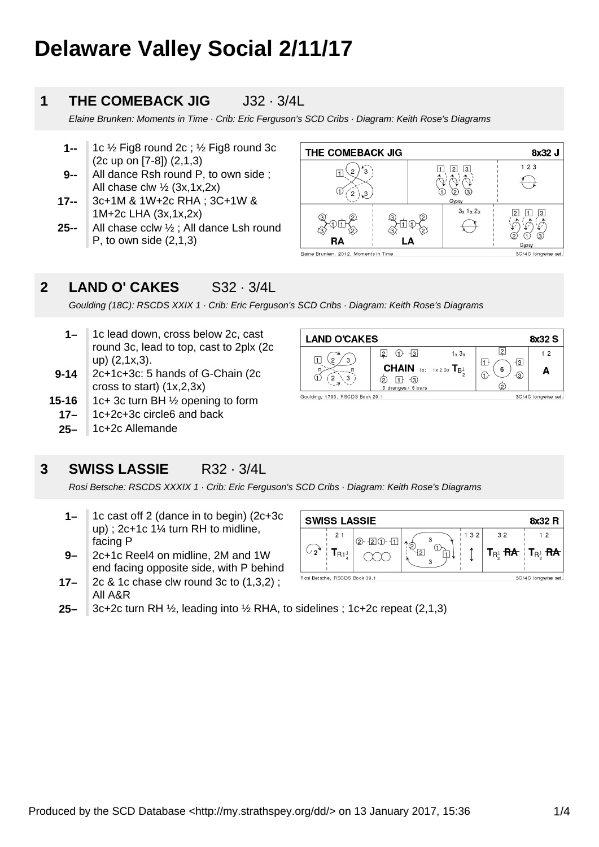# **Delaware Valley Social 2/11/17**

#### **1 THE COMEBACK JIG** J32 · 3/4L

Elaine Brunken: Moments in Time · Crib: Eric Ferguson's SCD Cribs · Diagram: Keith Rose's Diagrams

- **1--** 1c ½ Fig8 round 2c ; ½ Fig8 round 3c (2c up on [7-8]) (2,1,3)
- **9--** All dance Rsh round P, to own side ; All chase clw  $\frac{1}{2}$  (3x,1x,2x)
- **17--** 3c+1M & 1W+2c RHA ; 3C+1W & 1M+2c LHA (3x,1x,2x)
- **25--** All chase cclw ½ ; All dance Lsh round P, to own side  $(2,1,3)$



**<sup>2</sup> LAND O' CAKES** S32 · 3/4L

Goulding (18C): RSCDS XXIX 1 · Crib: Eric Ferguson's SCD Cribs · Diagram: Keith Rose's Diagrams

- **1–** 1c lead down, cross below 2c, cast round 3c, lead to top, cast to 2plx (2c up) (2,1x,3).
- **9-14** 2c+1c+3c: 5 hands of G-Chain (2c cross to start) (1x,2,3x)
- **15-16** 1c+ 3c turn BH ½ opening to form
	- **17–** 1c+2c+3c circle6 and back
	- **25–** 1c+2c Allemande



#### **3 SWISS LASSIE** R32 · 3/4L

Rosi Betsche: RSCDS XXXIX 1 · Crib: Eric Ferguson's SCD Cribs · Diagram: Keith Rose's Diagrams

- **1–** 1c cast off 2 (dance in to begin) (2c+3c up) ; 2c+1c 1¼ turn RH to midline, facing P
- **9–** 2c+1c Reel4 on midline, 2M and 1W end facing opposite side, with P behind
- **17–** 2c & 1c chase clw round 3c to (1,3,2) ; All A&R



**25–** 3c+2c turn RH ½, leading into ½ RHA, to sidelines ; 1c+2c repeat (2,1,3)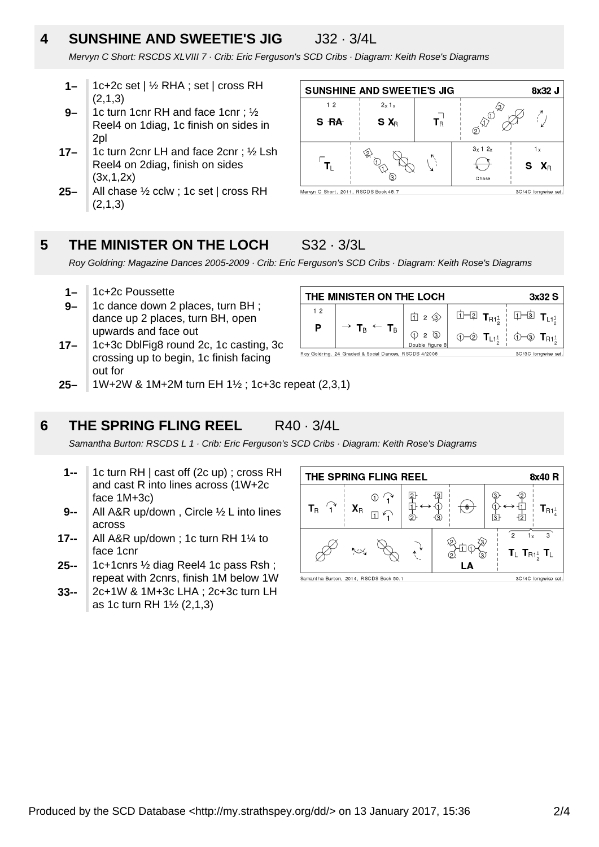## **4 SUNSHINE AND SWEETIE'S JIG** J32 · 3/4L

Mervyn C Short: RSCDS XLVIII 7 · Crib: Eric Ferguson's SCD Cribs · Diagram: Keith Rose's Diagrams

- **1–** 1c+2c set | ½ RHA ; set | cross RH (2,1,3)
- **9–** 1c turn 1cnr RH and face 1cnr ; ½ Reel4 on 1diag, 1c finish on sides in 2pl
- **17–** 1c turn 2cnr LH and face 2cnr ; ½ Lsh Reel4 on 2diag, finish on sides (3x,1,2x)
- **25–** All chase ½ cclw ; 1c set | cross RH (2,1,3)



#### **5 THE MINISTER ON THE LOCH** S32 · 3/3L

Roy Goldring: Magazine Dances 2005-2009 · Crib: Eric Ferguson's SCD Cribs · Diagram: Keith Rose's Diagrams

- **1–** 1c+2c Poussette
- **9–** 1c dance down 2 places, turn BH ; dance up 2 places, turn BH, open upwards and face out
- **17–** 1c+3c DblFig8 round 2c, 1c casting, 3c crossing up to begin, 1c finish facing out for

| THE MINISTER ON THE LOCH<br>3x32S                    |                                                          |              |  |                                                                                                                                                                                                                                                                                                                                                                                                                                                                                        |  |
|------------------------------------------------------|----------------------------------------------------------|--------------|--|----------------------------------------------------------------------------------------------------------------------------------------------------------------------------------------------------------------------------------------------------------------------------------------------------------------------------------------------------------------------------------------------------------------------------------------------------------------------------------------|--|
| 12                                                   |                                                          | <b>立</b> 2 金 |  | $\hfill\hfill\relax \relax \parallel \qquad \  \  \, \text{if} \quad \, \text{if} \quad \, \text{if} \quad \, \text{if} \quad \, \text{if} \quad \, \text{if} \quad \, \text{if} \quad \, \text{if} \quad \, \text{if} \quad \, \text{if} \quad \, \text{if} \quad \, \text{if} \quad \, \text{if} \quad \, \text{if} \quad \, \text{if} \quad \, \text{if} \quad \, \text{if} \quad \, \text{if} \quad \, \text{if} \quad \, \text{if} \quad \, \text{if} \quad \, \text{if} \quad \$ |  |
| P                                                    | $\rightarrow$ T <sub>B</sub> $\leftarrow$ T <sub>B</sub> |              |  |                                                                                                                                                                                                                                                                                                                                                                                                                                                                                        |  |
| Roy Goldring 24 Graded & Social Dances, RSCDS 4/2008 | 3C/3C Innawise set                                       |              |  |                                                                                                                                                                                                                                                                                                                                                                                                                                                                                        |  |

**25–** 1W+2W & 1M+2M turn EH 1½ ; 1c+3c repeat (2,3,1)

#### **6 THE SPRING FLING REEL** R40 · 3/4L

Samantha Burton: RSCDS L 1 · Crib: Eric Ferguson's SCD Cribs · Diagram: Keith Rose's Diagrams

- **1--** 1c turn RH | cast off (2c up) ; cross RH and cast R into lines across (1W+2c face 1M+3c)
- **9--** All A&R up/down , Circle ½ L into lines across
- **17--** All A&R up/down ; 1c turn RH 1¼ to face 1cnr
- **25--** 1c+1cnrs ½ diag Reel4 1c pass Rsh ; repeat with 2cnrs, finish 1M below 1W
- **33--** 2c+1W & 1M+3c LHA ; 2c+3c turn LH as 1c turn RH 1½ (2,1,3)

| THE SPRING FLING REEL<br>8x40 R |                           |    |         |                                                                   |  |  |  |
|---------------------------------|---------------------------|----|---------|-------------------------------------------------------------------|--|--|--|
| $T_R$                           | $\mathbf{X}_{\mathsf{R}}$ | つ  | ष<br>З  | $\mathsf{T}_{\mathsf{R1}^1}$<br>3                                 |  |  |  |
|                                 | ↜                         | ÷. | ദ<br>LA | $\overline{2}$<br>3<br>1 v<br>$T_{L}$ $T_{R1\frac{1}{2}}$ $T_{L}$ |  |  |  |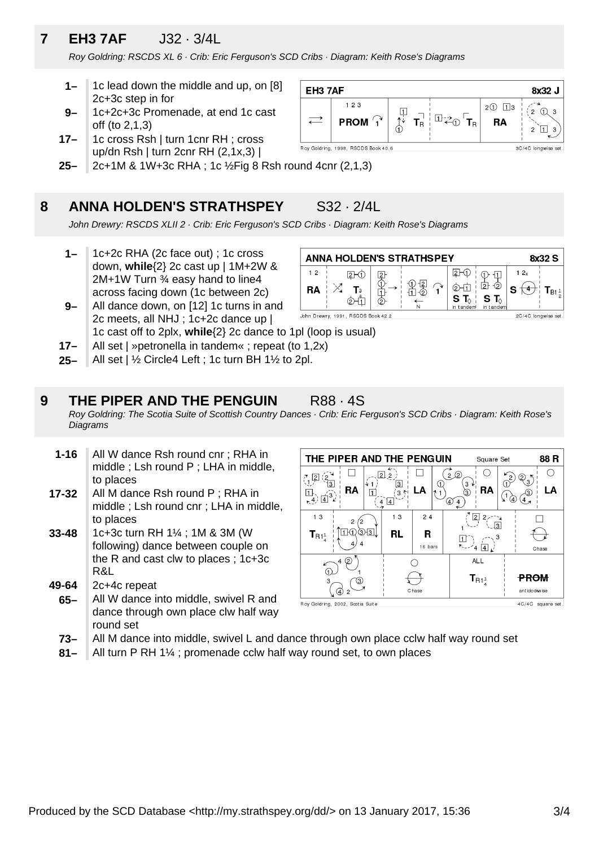## **7 EH3 7AF** J32 · 3/4L

Roy Goldring: RSCDS XL 6 · Crib: Eric Ferguson's SCD Cribs · Diagram: Keith Rose's Diagrams

- **1–** 1c lead down the middle and up, on [8] 2c+3c step in for
- **9–** 1c+2c+3c Promenade, at end 1c cast off (to 2,1,3)
- **17–** 1c cross Rsh | turn 1cnr RH ; cross up/dn Rsh | turn 2cnr RH (2,1x,3) |
- **25–** 2c+1M & 1W+3c RHA ; 1c ½Fig 8 Rsh round 4cnr (2,1,3)

#### **8 ANNA HOLDEN'S STRATHSPEY** S32 · 2/4L



John Drewry: RSCDS XLII 2 · Crib: Eric Ferguson's SCD Cribs · Diagram: Keith Rose's Diagrams

- **1–** 1c+2c RHA (2c face out) ; 1c cross down, **while**{2} 2c cast up | 1M+2W & 2M+1W Turn ¾ easy hand to line4 across facing down (1c between 2c)
- **9–** All dance down, on [12] 1c turns in and 2c meets, all NHJ ; 1c+2c dance up |



- 1c cast off to 2plx, **while**{2} 2c dance to 1pl (loop is usual)
- **17–** All set | »petronella in tandem« ; repeat (to 1,2x)
- **25–** All set | ½ Circle4 Left ; 1c turn BH 1½ to 2pl.

#### **9 THE PIPER AND THE PENGUIN R88 · 4S**

Roy Goldring: The Scotia Suite of Scottish Country Dances · Crib: Eric Ferguson's SCD Cribs · Diagram: Keith Rose's **Diagrams** 

- **1-16** All W dance Rsh round cnr ; RHA in middle ; Lsh round P ; LHA in middle, to places
- **17-32** All M dance Rsh round P ; RHA in middle ; Lsh round cnr ; LHA in middle, to places
- **33-48** 1c+3c turn RH 1¼ ; 1M & 3M (W following) dance between couple on the R and cast clw to places ; 1c+3c R&L
- **49-64** 2c+4c repeat
- **65–** All W dance into middle, swivel R and dance through own place clw half way round set

| THE PIPER AND THE PENGUIN<br>88 R<br>Square Set                       |                                |                                                  |                               |  |  |  |  |
|-----------------------------------------------------------------------|--------------------------------|--------------------------------------------------|-------------------------------|--|--|--|--|
| з<br>RA<br>1<br>$(4)\vec{4}^{3}$                                      | 22<br>3<br>ιĀ<br>з<br>4        | Ω)<br>$\overline{2}$<br>з۱<br>〔1<br>RA<br>3<br>④ | 2<br>LA<br>(4)<br>⊻           |  |  |  |  |
| 13<br>$\overline{2}$<br>$3\sqrt{3}$<br>$\textbf{T}_{\mathsf{R1}^1_4}$ | 13<br>24<br>RL<br>R<br>16 bars | 2 <br>2,<br>JЗ<br>$\sqrt{4}$<br>$\vert 4 \vert$  | Chase                         |  |  |  |  |
| 2<br>з<br>④<br>$\overline{2}$                                         | Chase                          | <b>ALL</b><br>$\mathbf{T}_{\mathsf{R1}^1_4}$     | <b>PROM</b><br>ant ido dw ise |  |  |  |  |
| Roy Goldring, 2002, Scotia Suite                                      |                                |                                                  | 4C/4C square set.             |  |  |  |  |

- **73–** All M dance into middle, swivel L and dance through own place cclw half way round set
- **81–** All turn P RH 1¼ ; promenade cclw half way round set, to own places